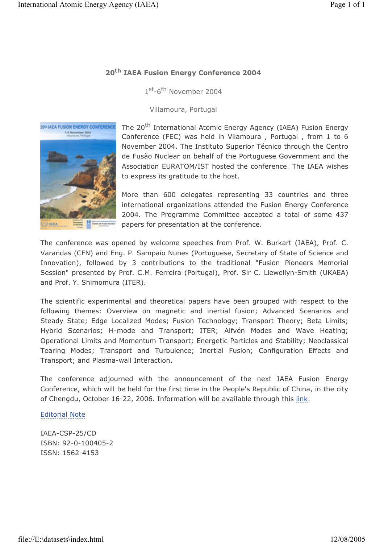## **20th IAEA Fusion Energy Conference 2004**

1st-6<sup>th</sup> November 2004

Villamoura, Portugal



The 20<sup>th</sup> International Atomic Energy Agency (IAEA) Fusion Energy Conference (FEC) was held in Vilamoura , Portugal , from 1 to 6 November 2004. The Instituto Superior Técnico through the Centro de Fusão Nuclear on behalf of the Portuguese Government and the Association EURATOM/IST hosted the conference. The IAEA wishes to express its gratitude to the host.

More than 600 delegates representing 33 countries and three international organizations attended the Fusion Energy Conference 2004. The Programme Committee accepted a total of some 437 papers for presentation at the conference.

The conference was opened by welcome speeches from Prof. W. Burkart (IAEA), Prof. C. Varandas (CFN) and Eng. P. Sampaio Nunes (Portuguese, Secretary of State of Science and Innovation), followed by 3 contributions to the traditional "Fusion Pioneers Memorial Session" presented by Prof. C.M. Ferreira (Portugal), Prof. Sir C. Llewellyn-Smith (UKAEA) and Prof. Y. Shimomura (ITER).

The scientific experimental and theoretical papers have been grouped with respect to the following themes: Overview on magnetic and inertial fusion; Advanced Scenarios and Steady State; Edge Localized Modes; Fusion Technology; Transport Theory; Beta Limits; Hybrid Scenarios; H-mode and Transport; ITER; Alfvén Modes and Wave Heating; Operational Limits and Momentum Transport; Energetic Particles and Stability; Neoclassical Tearing Modes; Transport and Turbulence; Inertial Fusion; Configuration Effects and Transport; and Plasma-wall Interaction.

The conference adjourned with the announcement of the next IAEA Fusion Energy Conference, which will be held for the first time in the People's Republic of China, in the city of Chengdu, October 16-22, 2006. Information will be available through this link.

## Editorial Note

IAEA-CSP-25/CD ISBN: 92-0-100405-2 ISSN: 1562-4153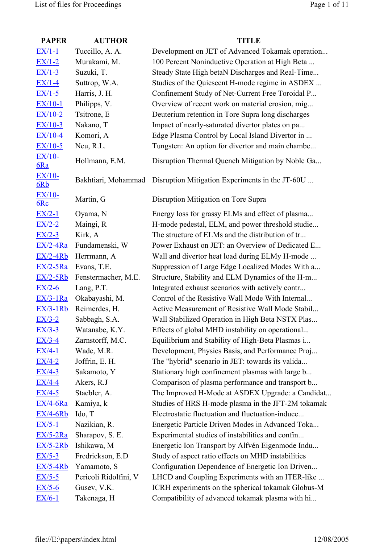| <b>PAPER</b>         | <b>AUTHOR</b>         | <b>TITLE</b>                                       |
|----------------------|-----------------------|----------------------------------------------------|
| $EX/1-1$             | Tuccillo, A. A.       | Development on JET of Advanced Tokamak operation   |
| $EX/1-2$             | Murakami, M.          | 100 Percent Noninductive Operation at High Beta    |
| $EX/1-3$             | Suzuki, T.            | Steady State High betaN Discharges and Real-Time   |
| $EX/1-4$             | Suttrop, W.A.         | Studies of the Quiescent H-mode regime in ASDEX    |
| $EX/1-5$             | Harris, J. H.         | Confinement Study of Net-Current Free Toroidal P   |
| $EX/10-1$            | Philipps, V.          | Overview of recent work on material erosion, mig   |
| $EX/10-2$            | Tsitrone, E           | Deuterium retention in Tore Supra long discharges  |
| $EX/10-3$            | Nakano, T             | Impact of nearly-saturated divertor plates on pa   |
| $EX/10-4$            | Komori, A             | Edge Plasma Control by Local Island Divertor in    |
| $EX/10-5$            | Neu, R.L.             | Tungsten: An option for divertor and main chambe   |
| EX/10-<br>6Ra        | Hollmann, E.M.        | Disruption Thermal Quench Mitigation by Noble Ga   |
| <b>EX/10-</b><br>6Rb | Bakhtiari, Mohammad   | Disruption Mitigation Experiments in the JT-60U    |
| $EX/10-$<br>6Rc      | Martin, G             | Disruption Mitigation on Tore Supra                |
| $EX/2-1$             | Oyama, N              | Energy loss for grassy ELMs and effect of plasma   |
| $EX/2-2$             | Maingi, R             | H-mode pedestal, ELM, and power threshold studie   |
| $EX/2-3$             | Kirk, A               | The structure of ELMs and the distribution of tr   |
| $EX/2-4Ra$           | Fundamenski, W        | Power Exhaust on JET: an Overview of Dedicated E   |
| $EX/2-4Rb$           | Herrmann, A           | Wall and divertor heat load during ELMy H-mode     |
| $EX/2-5Ra$           | Evans, T.E.           | Suppression of Large Edge Localized Modes With a   |
| $EX/2-5Rb$           | Fenstermacher, M.E.   | Structure, Stability and ELM Dynamics of the H-m   |
| $EX/2-6$             | Lang, P.T.            | Integrated exhaust scenarios with actively contr   |
| $EX/3-1Ra$           | Okabayashi, M.        | Control of the Resistive Wall Mode With Internal   |
| $EX/3-1Rb$           | Reimerdes, H.         | Active Measurement of Resistive Wall Mode Stabil   |
| $EX/3-2$             | Sabbagh, S.A.         | Wall Stabilized Operation in High Beta NSTX Plas   |
| $EX/3-3$             | Watanabe, K.Y.        | Effects of global MHD instability on operational   |
| $EX/3-4$             | Zarnstorff, M.C.      | Equilibrium and Stability of High-Beta Plasmas i   |
| $EX/4-1$             | Wade, M.R.            | Development, Physics Basis, and Performance Proj   |
| $EX/4-2$             | Joffrin, E. H.        | The "hybrid" scenario in JET: towards its valida   |
| $EX/4-3$             | Sakamoto, Y           | Stationary high confinement plasmas with large b   |
| $EX/4-4$             | Akers, R.J            | Comparison of plasma performance and transport b   |
| $EX/4-5$             | Staebler, A.          | The Improved H-Mode at ASDEX Upgrade: a Candidat   |
| $EX/4-6Ra$           | Kamiya, k             | Studies of HRS H-mode plasma in the JFT-2M tokamak |
| <b>EX/4-6Rb</b>      | Ido, T                | Electrostatic fluctuation and fluctuation-induce   |
| $EX/5-1$             | Nazikian, R.          | Energetic Particle Driven Modes in Advanced Toka   |
| $EX/5-2Ra$           | Sharapov, S. E.       | Experimental studies of instabilities and confin   |
| $EX/5-2Rb$           | Ishikawa, M           | Energetic Ion Transport by Alfvén Eigenmode Indu   |
| $EX/5-3$             | Fredrickson, E.D      | Study of aspect ratio effects on MHD instabilities |
| $EX/5-4Rb$           | Yamamoto, S           | Configuration Dependence of Energetic Ion Driven   |
| $EX/5-5$             | Pericoli Ridolfini, V | LHCD and Coupling Experiments with an ITER-like    |
| $EX/5-6$             | Gusev, V.K.           | ICRH experiments on the spherical tokamak Globus-M |
| $EX/6-1$             | Takenaga, H           | Compatibility of advanced tokamak plasma with hi   |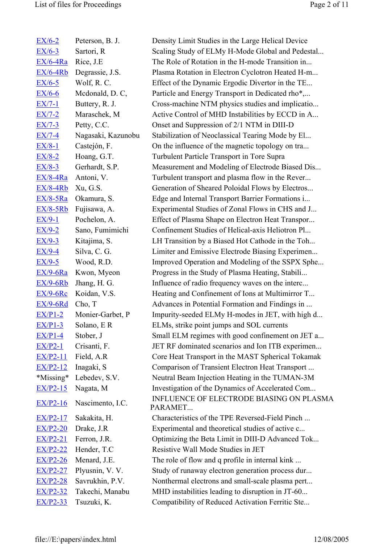| $EX/6-2$      | Peterson, B. J.          |
|---------------|--------------------------|
| $EX/6-3$      | Sartori, R               |
| $EX/6-4Ra$    | Rice, J.E                |
| $EX/6-4Rb$    | Degrassie, J.S.          |
| $EX/6-5$      | Wolf, R.C.               |
| $EX/6-6$      | Mcdonald, D.C,           |
| <u>EX/7-1</u> | Buttery, R. J.           |
| <u>EX/7-2</u> | Maraschek, M             |
| $EX/7-3$      | Petty, C.C.              |
| <u>EX/7-4</u> | Nagasaki, Kazunobu       |
| <u>EX/8-1</u> | Castejón, F.             |
| $EX/8-2$      | Hoang, G.T.              |
| $EX/8-3$      | Gerhardt, S.P.           |
| $EX/8-4Ra$    | Antoni, V.               |
| $EX/8-4Rb$    | Xu, G.S.                 |
| $EX/8-5Ra$    | Okamura, S.              |
| $EX/8-5Rb$    | Fujisawa, A.             |
| $EX/9-1$      | Pochelon, A.             |
| $EX/9-2$      | Sano, Fumimichi          |
| $EX/9-3$      | Kitajima, S.             |
| $EX/9-4$      | Silva, C. G.             |
| $EX/9-5$      | Wood, R.D.               |
| $EX/9-6Ra$    | Kwon, Myeon              |
| $EX/9-6Rb$    | Jhang, H. G.             |
| $EX/9-6Rc$    | Koidan, V.S.             |
| $EX/9-6Rd$    | Cho, T                   |
| $EX/P1-2$     | Monier-Garbet, P         |
| $EX/P1-3$     | Solano, ER               |
| $EX/P1-4$     | Stober, J                |
| $EX/P2-1$     | Crisanti, F.             |
| $EX/P2-11$    | Field, A.R.              |
| $EX/P2-12$    | Inagaki, S               |
| *Missing*     | Lebedev, S.V.            |
| $EX/P2-15$    | Nagata, M                |
| $EX/P2-16$    | Nascimento, I.C.         |
| $EX/P2-17$    | Sakakita, H.             |
| $EX/P2-20$    | Drake, J.R               |
| $EX/P2-21$    | Ferron, J.R.             |
| $EX/P2-22$    | Hender, T.C              |
| $EX/P2-26$    | Menard, J.E.             |
| $EX/P2-27$    | Plyusnin, V. V.          |
| $EX/P2-28$    | Savrukhin, P.V.          |
|               | EX/P2-32 Takechi, Manabu |
| $EX/P2-33$    | Tsuzuki, K.              |

Density Limit Studies in the Large Helical Device Scaling Study of ELMy H-Mode Global and Pedestal... The Role of Rotation in the H-mode Transition in... Plasma Rotation in Electron Cyclotron Heated H-m... Effect of the Dynamic Ergodic Divertor in the TE... Particle and Energy Transport in Dedicated rho<sup>\*</sup>,... Cross-machine NTM physics studies and implicatio... Active Control of MHD Instabilities by ECCD in A... Onset and Suppression of 2/1 NTM in DIII-D Stabilization of Neoclassical Tearing Mode by El... On the influence of the magnetic topology on tra... Turbulent Particle Transport in Tore Supra Measurement and Modeling of Electrode Biased Dis... Turbulent transport and plasma flow in the Rever... Generation of Sheared Poloidal Flows by Electros... Edge and Internal Transport Barrier Formations i... Experimental Studies of Zonal Flows in CHS and J... Effect of Plasma Shape on Electron Heat Transpor... Confinement Studies of Helical-axis Heliotron Pl... LH Transition by a Biased Hot Cathode in the Toh... Limiter and Emissive Electrode Biasing Experimen... Improved Operation and Modeling of the SSPX Sphe... Progress in the Study of Plasma Heating, Stabili... Influence of radio frequency waves on the interc... Heating and Confinement of Ions at Multimirror T... Advances in Potential Formation and Findings in ... Impurity-seeded ELMy H-modes in JET, with high d... ELMs, strike point jumps and SOL currents Small ELM regimes with good confinement on JET a... JET RF dominated scenarios and Ion ITB experimen... Core Heat Transport in the MAST Spherical Tokamak Comparison of Transient Electron Heat Transport ... Neutral Beam Injection Heating in the TUMAN-3M Investigation of the Dynamics of Accelerated Com... INFLUENCE OF ELECTRODE BIASING ON PLASMA PARAMET... Characteristics of the TPE Reversed-Field Pinch ... Experimental and theoretical studies of active c... Optimizing the Beta Limit in DIII-D Advanced Tok... Resistive Wall Mode Studies in JET The role of flow and q profile in internal kink ... Study of runaway electron generation process dur... Nonthermal electrons and small-scale plasma pert...

MHD instabilities leading to disruption in JT-60...

Compatibility of Reduced Activation Ferritic Ste...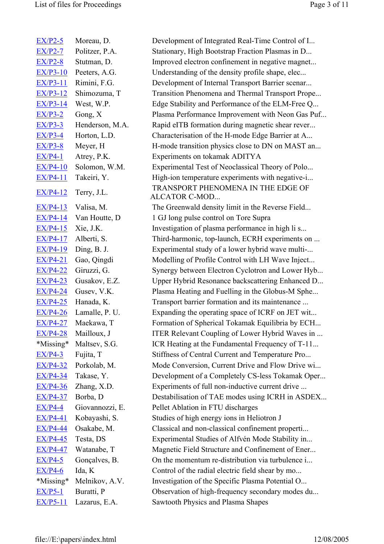| $EX/P2-5$       | Moreau, D.      | Development of Integrated Real-Time Control of I    |
|-----------------|-----------------|-----------------------------------------------------|
| $EX/P2-7$       | Politzer, P.A.  | Stationary, High Bootstrap Fraction Plasmas in D    |
| $EX/P2-8$       | Stutman, D.     | Improved electron confinement in negative magnet    |
| $EX/P3-10$      | Peeters, A.G.   | Understanding of the density profile shape, elec    |
| $EX/P3-11$      | Rimini, F.G.    | Development of Internal Transport Barrier scenar    |
| $EX/P3-12$      | Shimozuma, T    | Transition Phenomena and Thermal Transport Prope    |
| <b>EX/P3-14</b> | West, W.P.      | Edge Stability and Performance of the ELM-Free Q    |
| $EX/P3-2$       | Gong, X         | Plasma Performance Improvement with Neon Gas Puf    |
| $EX/P3-3$       | Henderson, M.A. | Rapid eITB formation during magnetic shear rever    |
| $EX/P3-4$       | Horton, L.D.    | Characterisation of the H-mode Edge Barrier at A    |
| $EX/P3-8$       | Meyer, H        | H-mode transition physics close to DN on MAST an    |
| $EX/P4-1$       | Atrey, P.K.     | Experiments on tokamak ADITYA                       |
| $EX/P4-10$      | Solomon, W.M.   | Experimental Test of Neoclassical Theory of Polo    |
| $EX/P4-11$      | Takeiri, Y.     | High-ion temperature experiments with negative-i    |
| $EX/P4-12$      | Terry, J.L.     | TRANSPORT PHENOMENA IN THE EDGE OF<br>ALCATOR C-MOD |
| $EX/P4-13$      | Valisa, M.      | The Greenwald density limit in the Reverse Field    |
| $EX/P4-14$      | Van Houtte, D   | 1 GJ long pulse control on Tore Supra               |
| $EX/P4-15$      | Xie, J.K.       | Investigation of plasma performance in high li s    |
| $EX/P4-17$      | Alberti, S.     | Third-harmonic, top-launch, ECRH experiments on     |
| $EX/P4-19$      | Ding, B. J.     | Experimental study of a lower hybrid wave multi-    |
| $EX/P4-21$      | Gao, Qingdi     | Modelling of Profile Control with LH Wave Inject    |
| <b>EX/P4-22</b> | Giruzzi, G.     | Synergy between Electron Cyclotron and Lower Hyb    |
| $EX/P4-23$      | Gusakov, E.Z.   | Upper Hybrid Resonance backscattering Enhanced D    |
| $EX/P4-24$      | Gusev, V.K.     | Plasma Heating and Fuelling in the Globus-M Sphe    |
| $EX/P4-25$      | Hanada, K.      | Transport barrier formation and its maintenance     |
| $EX/P4-26$      | Lamalle, P. U.  | Expanding the operating space of ICRF on JET wit    |
| $EX/P4-27$      | Maekawa, T      | Formation of Spherical Tokamak Equilibria by ECH    |
| $EX/P4-28$      | Mailloux, J     | ITER Relevant Coupling of Lower Hybrid Waves in     |
| $*$ Missing $*$ | Maltsev, S.G.   | ICR Heating at the Fundamental Frequency of T-11    |
| $EX/P4-3$       | Fujita, T       | Stiffness of Central Current and Temperature Pro    |
| EX/P4-32        | Porkolab, M.    | Mode Conversion, Current Drive and Flow Drive wi    |
| <b>EX/P4-34</b> | Takase, Y.      | Development of a Completely CS-less Tokamak Oper    |
| $EX/P4-36$      | Zhang, X.D.     | Experiments of full non-inductive current drive     |
| $EX/P4-37$      | Borba, D        | Destabilisation of TAE modes using ICRH in ASDEX    |
| $EX/P4-4$       | Giovannozzi, E. | Pellet Ablation in FTU discharges                   |
| $EX/P4-41$      | Kobayashi, S.   | Studies of high energy ions in Heliotron J          |
| $EX/P4-44$      | Osakabe, M.     | Classical and non-classical confinement properti    |
| $EX/P4-45$      | Testa, DS       | Experimental Studies of Alfvén Mode Stability in    |
| <b>EX/P4-47</b> | Watanabe, T     | Magnetic Field Structure and Confinement of Ener    |
| $EX/P4-5$       | Gonçalves, B.   | On the momentum re-distribution via turbulence i    |
| $EX/P4-6$       | Ida, K          | Control of the radial electric field shear by mo    |
| *Missing*       | Melnikov, A.V.  | Investigation of the Specific Plasma Potential O    |
| $EX/P5-1$       | Buratti, P      | Observation of high-frequency secondary modes du    |
| $EX/P5-11$      | Lazarus, E.A.   | Sawtooth Physics and Plasma Shapes                  |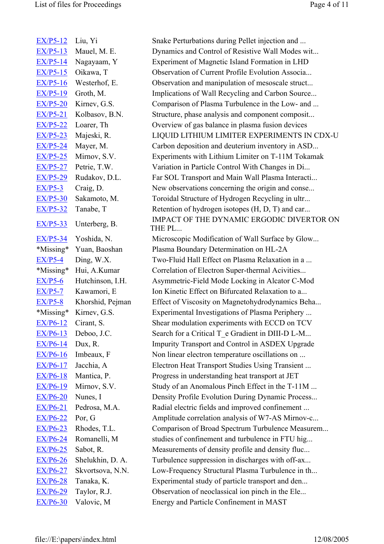| $EX/P5-12$      | Liu, Yi          |
|-----------------|------------------|
| EX/P5-13        | Mauel, M. E.     |
| $EX/P5-14$      | Nagayaam, Y      |
| $EX/P5-15$      | Oikawa, T        |
| $EX/P5-16$      | Westerhof, E.    |
| EX/P5-19        | Groth, M.        |
| $EX/P5-20$      | Kirnev, G.S.     |
| $EX/P5-21$      | Kolbasov, B.N.   |
| $EX/P5-22$      | Loarer, Th       |
| $EX/P5-23$      | Majeski, R.      |
| EX/P5-24        | Mayer, M.        |
| $EX/P5-25$      | Mirnov, S.V.     |
| <b>EX/P5-27</b> | Petrie, T.W.     |
| $EX/P5-29$      | Rudakov, D.L.    |
| $EX/P5-3$       | Craig, D.        |
| <b>EX/P5-30</b> | Sakamoto, M.     |
| $EX/P5-32$      | Tanabe, T        |
| $EX/P5-33$      | Unterberg, B.    |
| <u>EX/P5-34</u> | Yoshida, N.      |
| *Missing*       | Yuan, Baoshan    |
| $EX/P5-4$       | Ding, W.X.       |
| *Missing*       | Hui, A.Kumar     |
| $EX/P5-6$       | Hutchinson, I.H. |
| $EX/P5-7$       | Kawamori, E      |
| $EX/P5-8$       | Khorshid, Pejman |
| *Missing*       | Kirnev, G.S.     |
| EX/P6-12        | Cirant, S.       |
| $EX/P6-13$      | Deboo, J.C.      |
| $EX/P6-14$      | Dux, R.          |
| $EX/P6-16$      | Imbeaux, F       |
| $EX/P6-17$      | Jacchia, A       |
| $EX/P6-18$      | Mantica, P.      |
| $EX/P6-19$      | Mirnov, S.V.     |
| $EX/P6-20$      | Nunes, I         |
| $EX/P6-21$      | Pedrosa, M.A.    |
| $EX/P6-22$      | Por, G           |
| $EX/P6-23$      |                  |
|                 | Rhodes, T.L.     |
| $EX/P6-24$      | Romanelli, M     |
| $EX/P6-25$      | Sabot, R.        |
| $EX/P6-26$      | Shelukhin, D. A. |
| $EX/P6-27$      | Skvortsova, N.N. |
| $EX/P6-28$      | Tanaka, K.       |
| $EX/P6-29$      | Taylor, R.J.     |

Snake Perturbations during Pellet injection and ... Dynamics and Control of Resistive Wall Modes wit... Experiment of Magnetic Island Formation in LHD Observation of Current Profile Evolution Associa... Observation and manipulation of mesoscale struct... Implications of Wall Recycling and Carbon Source... Comparison of Plasma Turbulence in the Low- and ... Structure, phase analysis and component composit... Overview of gas balance in plasma fusion devices LIQUID LITHIUM LIMITER EXPERIMENTS IN CDX-U Carbon deposition and deuterium inventory in ASD... Experiments with Lithium Limiter on T-11M Tokamak Variation in Particle Control With Changes in Di... Far SOL Transport and Main Wall Plasma Interacti... New observations concerning the origin and conse... Toroidal Structure of Hydrogen Recycling in ultr... Retention of hydrogen isotopes  $(H, D, T)$  and car... IMPACT OF THE DYNAMIC ERGODIC DIVERTOR ON THE PL... Microscopic Modification of Wall Surface by Glow... Plasma Boundary Determination on HL-2A

Two-Fluid Hall Effect on Plasma Relaxation in a ... Correlation of Electron Super-thermal Acivities... Asymmetric-Field Mode Locking in Alcator C-Mod Ion Kinetic Effect on Bifurcated Relaxation to a... Effect of Viscosity on Magnetohydrodynamics Beha... Experimental Investigations of Plasma Periphery ... Shear modulation experiments with ECCD on TCV Search for a Critical T\_e Gradient in DIII-D L-M... Impurity Transport and Control in ASDEX Upgrade Non linear electron temperature oscillations on ... Electron Heat Transport Studies Using Transient ... Progress in understanding heat transport at JET Study of an Anomalous Pinch Effect in the T-11M ... Density Profile Evolution During Dynamic Process... Radial electric fields and improved confinement ... Amplitude correlation analysis of W7-AS Mirnov-c... Comparison of Broad Spectrum Turbulence Measurem... studies of confinement and turbulence in FTU hig... Measurements of density profile and density fluc... Turbulence suppression in discharges with off-ax... Low-Frequency Structural Plasma Turbulence in th... Experimental study of particle transport and den... Observation of neoclassical ion pinch in the Ele... Energy and Particle Confinement in MAST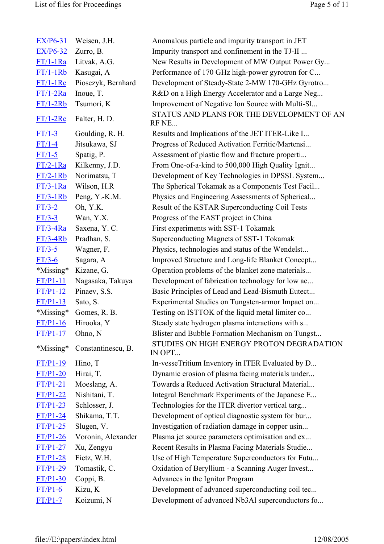| $EX/P6-31$  | Weisen, J.H.       | Anomalous particle and impurity transport in JET    |
|-------------|--------------------|-----------------------------------------------------|
| $EX/P6-32$  | Zurro, B.          | Impurity transport and confinement in the TJ-II     |
| $FT/1-1Ra$  | Litvak, A.G.       | New Results in Development of MW Output Power Gy    |
| $FT/1-1Rb$  | Kasugai, A         | Performance of 170 GHz high-power gyrotron for C    |
| $FT/1-1$ Rc | Piosczyk, Bernhard | Development of Steady-State 2-MW 170-GHz Gyrotro    |
| $FT/1-2Ra$  | Inoue, T.          | R&D on a High Energy Accelerator and a Large Neg    |
| $FT/1-2Rb$  | Tsumori, K         | Improvement of Negative Ion Source with Multi-Sl    |
| $FT/1-2Rc$  | Falter, H. D.      | STATUS AND PLANS FOR THE DEVELOPMENT OF AN<br>RF NE |
| $FT/1-3$    | Goulding, R. H.    | Results and Implications of the JET ITER-Like I     |
| $FT/1-4$    | Jitsukawa, SJ      | Progress of Reduced Activation Ferritic/Martensi    |
| $FT/1-5$    | Spatig, P.         | Assessment of plastic flow and fracture properti    |
| $FT/2-1Ra$  | Kilkenny, J.D.     | From One-of-a-kind to 500,000 High Quality Ignit    |
| $FT/2-1Rb$  | Norimatsu, T       | Development of Key Technologies in DPSSL System     |
| $FT/3-1Ra$  | Wilson, H.R.       | The Spherical Tokamak as a Components Test Facil    |
| $FT/3-1Rb$  | Peng, Y.-K.M.      | Physics and Engineering Assessments of Spherical    |
| $FT/3-2$    | Oh, Y.K.           | Result of the KSTAR Superconducting Coil Tests      |
| $FT/3-3$    | Wan, Y.X.          | Progress of the EAST project in China               |
| $FT/3-4Ra$  | Saxena, Y. C.      | First experiments with SST-1 Tokamak                |
| $FT/3-4Rb$  | Pradhan, S.        | Superconducting Magnets of SST-1 Tokamak            |
| $FT/3-5$    | Wagner, F.         | Physics, technologies and status of the Wendelst    |
| $FT/3-6$    | Sagara, A          | Improved Structure and Long-life Blanket Concept    |
| *Missing*   | Kizane, G.         | Operation problems of the blanket zone materials    |
| $FT/P1-11$  | Nagasaka, Takuya   | Development of fabrication technology for low ac    |
| $FT/P1-12$  | Pinaev, S.S.       | Basic Principles of Lead and Lead-Bismuth Eutect    |
| $FT/P1-13$  | Sato, S.           | Experimental Studies on Tungsten-armor Impact on    |
| *Missing*   | Gomes, R. B.       | Testing on ISTTOK of the liquid metal limiter co    |
| $FT/P1-16$  | Hirooka, Y         | Steady state hydrogen plasma interactions with s    |
| $FT/P1-17$  | Ohno, N            | Blister and Bubble Formation Mechanism on Tungst    |
| *Missing*   | Constantinescu, B. | STUDIES ON HIGH ENERGY PROTON DEGRADATION<br>IN OPT |
| $FT/P1-19$  | Hino, T            | In-vesseTritium Inventory in ITER Evaluated by D    |
| $FT/P1-20$  | Hirai, T.          | Dynamic erosion of plasma facing materials under    |
| $FT/P1-21$  | Moeslang, A.       | Towards a Reduced Activation Structural Material    |
| $FT/P1-22$  | Nishitani, T.      | Integral Benchmark Experiments of the Japanese E    |
| $FT/P1-23$  | Schlosser, J.      | Technologies for the ITER divertor vertical targ    |
| $FT/P1-24$  | Shikama, T.T.      | Development of optical diagnostic system for bur    |
| $FT/P1-25$  | Slugen, V.         | Investigation of radiation damage in copper usin    |
| $FT/P1-26$  | Voronin, Alexander | Plasma jet source parameters optimisation and ex    |
| $FT/P1-27$  | Xu, Zengyu         | Recent Results in Plasma Facing Materials Studie    |
| $FT/P1-28$  | Fietz, W.H.        | Use of High Temperature Superconductors for Futu    |
| $FT/P1-29$  | Tomastik, C.       | Oxidation of Beryllium - a Scanning Auger Invest    |
| $FT/P1-30$  | Coppi, B.          | Advances in the Ignitor Program                     |
| $FT/P1-6$   | Kizu, K            | Development of advanced superconducting coil tec    |
| $FT/P1-7$   | Koizumi, N         | Development of advanced Nb3Al superconductors fo    |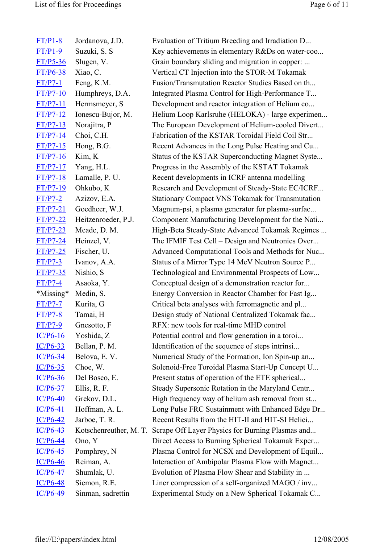| $FT/P1-8$           | Jordanova, J.D.        |
|---------------------|------------------------|
| $FT/P1-9$           | Suzuki, S. S           |
| $FT/P5-36$          | Slugen, V.             |
| $FT/P6-38$          | Xiao, C.               |
| $FT/P7-1$           | Feng, K.M.             |
| $FT/P7-10$          | Humphreys, D.A.        |
| $FT/P7-11$          | Hermsmeyer, S          |
| <u>FT/P7-12</u>     | Ionescu-Bujor, M.      |
| $FT/P7-13$          | Norajitra, P           |
| $FT/P7-14$          | Choi, C.H.             |
| <u>FT/P7-15</u>     | Hong, B.G.             |
| $FT/P7-16$          | Kim, K                 |
| $FT/P7-17$          | Yang, H.L.             |
| <u>FT/P7-18</u>     | Lamalle, P. U.         |
| $FT/P7-19$          | Ohkubo, K              |
| $FT/P7-2$           | Azizov, E.A.           |
| <b>FT/P7-21</b>     | Goedheer, W.J.         |
| $FT/P7-22$          | Heitzenroeder, P.J.    |
| $FT/P7-23$          | Meade, D. M.           |
| $FT/P7-24$          | Heinzel, V.            |
| FT/P7-25            | Fischer, U.            |
| <u>FT/P7-3</u>      | Ivanov, A.A.           |
| $FT/P7-35$          | Nishio, S              |
| $FT/P7-4$           | Asaoka, Y.             |
| *Missing* Medin, S. |                        |
| $FT/P7-7$           | Kurita, G              |
| $FT/P7-8$           | Tamai, H               |
| $FT/P7-9$           | Gnesotto, F            |
| $IC/P6-16$          | Yoshida, Z             |
| $IC/P6-33$          | Bellan, P. M.          |
| <u>IC/P6-34</u>     | Belova, E.V.           |
| $IC/P6-35$          | Choe, W.               |
| $IC/P6-36$          | Del Bosco, E.          |
| $IC/P6-37$          | Ellis, R. F.           |
| <u>IC/P6-40</u>     | Grekov, D.L.           |
| $IC/P6-41$          | Hoffman, A. L.         |
| $IC/P6-42$          | Jarboe, T. R.          |
| $IC/P6-43$          | Kotschenreuther, M. T. |
| $IC/P6-44$          | Ono, Y                 |
| <u>IC/P6-45</u>     | Pomphrey, N            |
| $IC/P6-46$          | Reiman, A.             |
| $IC/P6-47$          | Shumlak, U.            |
| <u>IC/P6-48</u>     | Siemon, R.E.           |
| $IC/P6-49$          | Sinman, sadrettin      |

Evaluation of Tritium Breeding and Irradiation D... Key achievements in elementary R&Ds on water-coo... Grain boundary sliding and migration in copper: ... Vertical CT Injection into the STOR-M Tokamak Fusion/Transmutation Reactor Studies Based on th... Integrated Plasma Control for High-Performance T... Development and reactor integration of Helium co... Helium Loop Karlsruhe (HELOKA) - large experimen... The European Development of Helium-cooled Divert... Fabrication of the KSTAR Toroidal Field Coil Str... Recent Advances in the Long Pulse Heating and Cu... Status of the KSTAR Superconducting Magnet Syste... Progress in the Assembly of the KSTAT Tokamak Recent developments in ICRF antenna modelling Research and Development of Steady-State EC/ICRF... Stationary Compact VNS Tokamak for Transmutation Magnum-psi, a plasma generator for plasma-surfac... Component Manufacturing Development for the Nati... High-Beta Steady-State Advanced Tokamak Regimes ... The IFMIF Test Cell – Design and Neutronics Over... Advanced Computational Tools and Methods for Nuc... Status of a Mirror Type 14 MeV Neutron Source P... Technological and Environmental Prospects of Low... Conceptual design of a demonstration reactor for... Energy Conversion in Reactor Chamber for Fast Ig... Critical beta analyses with ferromagnetic and pl... Design study of National Centralized Tokamak fac... RFX: new tools for real-time MHD control Potential control and flow generation in a toroi... Identification of the sequence of steps intrinsi... Numerical Study of the Formation, Ion Spin-up an... Solenoid-Free Toroidal Plasma Start-Up Concept U... Present status of operation of the ETE spherical... Steady Supersonic Rotation in the Maryland Centr... High frequency way of helium ash removal from st... Long Pulse FRC Sustainment with Enhanced Edge Dr... Recent Results from the HIT-II and HIT-SI Helici... Scrape Off Layer Physics for Burning Plasmas and... Direct Access to Burning Spherical Tokamak Exper... Plasma Control for NCSX and Development of Equil... Interaction of Ambipolar Plasma Flow with Magnet... Evolution of Plasma Flow Shear and Stability in ... Liner compression of a self-organized MAGO / inv... Experimental Study on a New Spherical Tokamak C...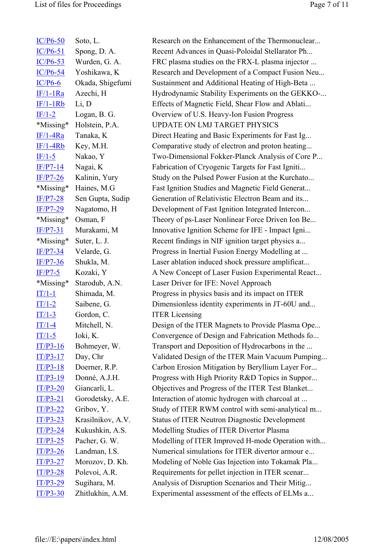| $IC/P6-50$ | Soto, L.          | Research on the Enhancement of the Thermonuclear     |
|------------|-------------------|------------------------------------------------------|
| $IC/P6-51$ | Spong, D. A.      | Recent Advances in Quasi-Poloidal Stellarator Ph     |
| $IC/P6-53$ | Wurden, G. A.     | FRC plasma studies on the FRX-L plasma injector      |
| $IC/P6-54$ | Yoshikawa, K      | Research and Development of a Compact Fusion Neu     |
| $IC/P6-6$  | Okada, Shigefumi  | Sustainment and Additional Heating of High-Beta      |
| $IF/1-1Ra$ | Azechi, H         | Hydrodynamic Stability Experiments on the GEKKO-     |
| $IF/1-1Rb$ | Li, D             | Effects of Magnetic Field, Shear Flow and Ablati     |
| $IF/1-2$   | Logan, B. G.      | Overview of U.S. Heavy-Ion Fusion Progress           |
| *Missing*  | Holstein, P.A.    | <b>UPDATE ON LMJ TARGET PHYSICS</b>                  |
| $IF/1-4Ra$ | Tanaka, K         | Direct Heating and Basic Experiments for Fast Ig     |
| $IF/1-4Rb$ | Key, M.H.         | Comparative study of electron and proton heating     |
| $IF/1-5$   | Nakao, Y          | Two-Dimensional Fokker-Planck Analysis of Core P     |
| $IF/P7-14$ | Nagai, K          | Fabrication of Cryogenic Targets for Fast Igniti     |
| $IF/P7-26$ | Kalinin, Yury     | Study on the Pulsed Power Fusion at the Kurchato     |
| *Missing*  | Haines, M.G       | Fast Ignition Studies and Magnetic Field Generat     |
| $IF/P7-28$ | Sen Gupta, Sudip  | Generation of Relativistic Electron Beam and its     |
| $IF/P7-29$ | Nagatomo, H       | Development of Fast Ignition Integrated Intercon     |
| *Missing*  | Osman, F          | Theory of ps-Laser Nonlinear Force Driven Ion Be     |
| $IF/P7-31$ | Murakami, M       | Innovative Ignition Scheme for IFE - Impact Igni     |
| *Missing*  | Suter, L. J.      | Recent findings in NIF ignition target physics a     |
| $IF/P7-34$ | Velarde, G.       | Progress in Inertial Fusion Energy Modelling at      |
| $IF/P7-36$ | Shukla, M.        | Laser ablation induced shock pressure amplificat     |
| $IF/P7-5$  | Kozaki, Y         | A New Concept of Laser Fusion Experimental React     |
| *Missing*  | Starodub, A.N.    | Laser Driver for IFE: Novel Approach                 |
| $IT/1-1$   | Shimada, M.       | Progress in physics basis and its impact on ITER     |
| $IT/1-2$   | Saibene, G.       | Dimensionless identity experiments in JT-60U and     |
| $IT/1-3$   | Gordon, C.        | <b>ITER Licensing</b>                                |
| $IT/1-4$   | Mitchell, N.      | Design of the ITER Magnets to Provide Plasma Ope     |
| $IT/1-5$   | Ioki, K.          | Convergence of Design and Fabrication Methods fo     |
| $IT/P3-16$ | Bohmeyer, W.      | Transport and Deposition of Hydrocarbons in the      |
| $IT/P3-17$ | Day, Chr          | Validated Design of the ITER Main Vacuum Pumping     |
| $IT/P3-18$ | Doerner, R.P.     | Carbon Erosion Mitigation by Beryllium Layer For     |
| $IT/P3-19$ | Donné, A.J.H.     | Progress with High Priority R&D Topics in Suppor     |
| $IT/P3-20$ | Giancarli, L.     | Objectives and Progress of the ITER Test Blanket     |
| $IT/P3-21$ | Gorodetsky, A.E.  | Interaction of atomic hydrogen with charcoal at      |
| $IT/P3-22$ | Gribov, Y.        | Study of ITER RWM control with semi-analytical m     |
| $IT/P3-23$ | Krasilnikov, A.V. | <b>Status of ITER Neutron Diagnostic Development</b> |
| $IT/P3-24$ | Kukushkin, A.S.   | Modelling Studies of ITER Divertor Plasma            |
| $IT/P3-25$ | Pacher, G. W.     | Modelling of ITER Improved H-mode Operation with     |
| $IT/P3-26$ | Landman, I.S.     | Numerical simulations for ITER divertor armour e     |
| $IT/P3-27$ | Morozov, D. Kh.   | Modeling of Noble Gas Injection into Tokamak Pla     |
| $IT/P3-28$ | Polevoi, A.R.     | Requirements for pellet injection in ITER scenar     |
| $IT/P3-29$ | Sugihara, M.      | Analysis of Disruption Scenarios and Their Mitig     |
| $IT/P3-30$ | Zhitlukhin, A.M.  | Experimental assessment of the effects of ELMs a     |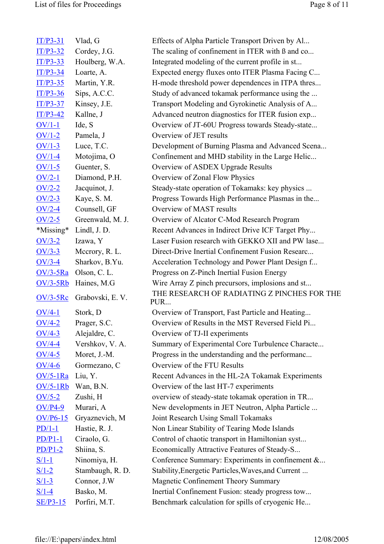| $IT/P3-31$ | Vlad, G          | Effects of Alpha Particle Transport Driven by Al   |
|------------|------------------|----------------------------------------------------|
| $IT/P3-32$ | Cordey, J.G.     | The scaling of confinement in ITER with B and co   |
| $IT/P3-33$ | Houlberg, W.A.   | Integrated modeling of the current profile in st   |
| $IT/P3-34$ | Loarte, A.       | Expected energy fluxes onto ITER Plasma Facing C   |
| $IT/P3-35$ | Martin, Y.R.     | H-mode threshold power dependences in ITPA thres   |
| $IT/P3-36$ | Sips, A.C.C.     | Study of advanced tokamak performance using the    |
| $IT/P3-37$ | Kinsey, J.E.     | Transport Modeling and Gyrokinetic Analysis of A   |
| $IT/P3-42$ | Kallne, J        | Advanced neutron diagnostics for ITER fusion exp   |
| $OV/1-1$   | Ide, S           | Overview of JT-60U Progress towards Steady-state   |
| $OV/1-2$   | Pamela, J        | Overview of JET results                            |
| $OV/1-3$   | Luce, T.C.       | Development of Burning Plasma and Advanced Scena   |
| $OV/1-4$   | Motojima, O      | Confinement and MHD stability in the Large Helic   |
| $OV/1-5$   | Guenter, S.      | Overview of ASDEX Upgrade Results                  |
| $OV/2-1$   | Diamond, P.H.    | Overview of Zonal Flow Physics                     |
| $OV/2-2$   | Jacquinot, J.    | Steady-state operation of Tokamaks: key physics    |
| $OV/2-3$   | Kaye, S. M.      | Progress Towards High Performance Plasmas in the   |
| $OV/2-4$   | Counsell, GF     | Overview of MAST results                           |
| $OV/2-5$   | Greenwald, M. J. | Overview of Alcator C-Mod Research Program         |
| *Missing*  | Lindl, J. D.     | Recent Advances in Indirect Drive ICF Target Phy   |
| $OV/3-2$   | Izawa, Y         | Laser Fusion research with GEKKO XII and PW lase   |
| $OV/3-3$   | Mccrory, R. L.   | Direct-Drive Inertial Confinement Fusion Researc   |
| $OV/3-4$   | Sharkov, B.Yu.   | Acceleration Technology and Power Plant Design f   |
| $OV/3-5Ra$ | Olson, C. L.     | Progress on Z-Pinch Inertial Fusion Energy         |
| $OV/3-5Rb$ | Haines, M.G      | Wire Array Z pinch precursors, implosions and st   |
| $OV/3-5Rc$ | Grabovski, E.V.  | THE RESEARCH OF RADIATING Z PINCHES FOR THE<br>PUR |
| $OV/4-1$   | Stork, D         | Overview of Transport, Fast Particle and Heating   |
| $OV/4-2$   | Prager, S.C.     | Overview of Results in the MST Reversed Field Pi   |
| $OV/4-3$   | Alejaldre, C.    | Overview of TJ-II experiments                      |
| $OV/4-4$   | Vershkov, V. A.  | Summary of Experimental Core Turbulence Characte   |
| $OV/4-5$   | Moret, J.-M.     | Progress in the understanding and the performanc   |
| $OV/4-6$   | Gormezano, C     | Overview of the FTU Results                        |
| $OV/5-1Ra$ | Liu, Y.          | Recent Advances in the HL-2A Tokamak Experiments   |
| $OV/5-1Rb$ | Wan, B.N.        | Overview of the last HT-7 experiments              |
| $OV/5-2$   | Zushi, H         | overview of steady-state tokamak operation in TR   |
| $OV/P4-9$  | Murari, A        | New developments in JET Neutron, Alpha Particle    |
| $OV/P6-15$ | Gryaznevich, M   | Joint Research Using Small Tokamaks                |
| $PD/1-1$   | Hastie, R. J.    | Non Linear Stability of Tearing Mode Islands       |
| $PD/P1-1$  | Ciraolo, G.      | Control of chaotic transport in Hamiltonian syst   |
| $PD/P1-2$  | Shiina, S.       | Economically Attractive Features of Steady-S       |
| $S/1-1$    | Ninomiya, H.     | Conference Summary: Experiments in confinement &   |
| $S/1-2$    | Stambaugh, R. D. | Stability, Energetic Particles, Waves, and Current |
| $S/1-3$    | Connor, J.W      | <b>Magnetic Confinement Theory Summary</b>         |
| $S/1-4$    | Basko, M.        | Inertial Confinement Fusion: steady progress tow   |
| $SE/P3-15$ | Porfiri, M.T.    | Benchmark calculation for spills of cryogenic He   |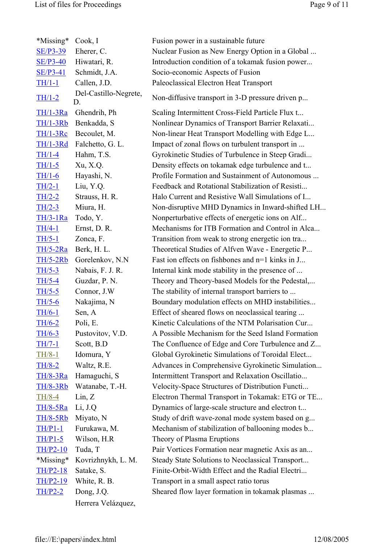| *Missing*       | Cook, I                     | Fusion power in a sustainable future               |
|-----------------|-----------------------------|----------------------------------------------------|
| <b>SE/P3-39</b> | Eherer, C.                  | Nuclear Fusion as New Energy Option in a Global    |
| <b>SE/P3-40</b> | Hiwatari, R.                | Introduction condition of a tokamak fusion power   |
| $SE/P3-41$      | Schmidt, J.A.               | Socio-economic Aspects of Fusion                   |
| $TH/1-1$        | Callen, J.D.                | Paleoclassical Electron Heat Transport             |
| $TH/1-2$        | Del-Castillo-Negrete,<br>D. | Non-diffusive transport in 3-D pressure driven p   |
| TH/1-3Ra        | Ghendrih, Ph                | Scaling Intermittent Cross-Field Particle Flux t   |
| $TH/1-3Rb$      | Benkadda, S                 | Nonlinear Dynamics of Transport Barrier Relaxati   |
| $TH/1-3Rc$      | Becoulet, M.                | Non-linear Heat Transport Modelling with Edge L    |
| <b>TH/1-3Rd</b> | Falchetto, G. L.            | Impact of zonal flows on turbulent transport in    |
| $TH/1-4$        | Hahm, T.S.                  | Gyrokinetic Studies of Turbulence in Steep Gradi   |
| $TH/1-5$        | Xu, X.Q.                    | Density effects on tokamak edge turbulence and t   |
| $TH/1-6$        | Hayashi, N.                 | Profile Formation and Sustainment of Autonomous    |
| $TH/2-1$        | Liu, Y.Q.                   | Feedback and Rotational Stabilization of Resisti   |
| $TH/2-2$        | Strauss, H. R.              | Halo Current and Resistive Wall Simulations of I   |
| $TH/2-3$        | Miura, H.                   | Non-disruptive MHD Dynamics in Inward-shifted LH   |
| $TH/3-1Ra$      | Todo, Y.                    | Nonperturbative effects of energetic ions on Alf   |
| $TH/4-1$        | Ernst, D. R.                | Mechanisms for ITB Formation and Control in Alca   |
| $TH/5-1$        | Zonca, F.                   | Transition from weak to strong energetic ion tra   |
| $TH/5-2Ra$      | Berk, H. L.                 | Theoretical Studies of Alfven Wave - Energetic P   |
| <b>TH/5-2Rb</b> | Gorelenkov, N.N.            | Fast ion effects on fishbones and n=1 kinks in J   |
| $TH/5-3$        | Nabais, F. J. R.            | Internal kink mode stability in the presence of    |
| $TH/5-4$        | Guzdar, P. N.               | Theory and Theory-based Models for the Pedestal,   |
| $TH/5-5$        | Connor, J.W                 | The stability of internal transport barriers to    |
| $TH/5-6$        | Nakajima, N                 | Boundary modulation effects on MHD instabilities   |
| $TH/6-1$        | Sen, A                      | Effect of sheared flows on neoclassical tearing    |
| $TH/6-2$        | Poli, E                     | Kinetic Calculations of the NTM Polarisation Cur.  |
| $TH/6-3$        | Pustovitov, V.D.            | A Possible Mechanism for the Seed Island Formation |
| $TH/7-1$        | Scott, B.D                  | The Confluence of Edge and Core Turbulence and Z   |
| $TH/8-1$        | Idomura, Y                  | Global Gyrokinetic Simulations of Toroidal Elect   |
| $TH/8-2$        | Waltz, R.E.                 | Advances in Comprehensive Gyrokinetic Simulation   |
| <b>TH/8-3Ra</b> | Hamaguchi, S                | Intermittent Transport and Relaxation Oscillatio   |
| <b>TH/8-3Rb</b> | Watanabe, T.-H.             | Velocity-Space Structures of Distribution Functi   |
| $TH/8-4$        | Lin, Z                      | Electron Thermal Transport in Tokamak: ETG or TE   |
| <b>TH/8-5Ra</b> | Li, J.Q                     | Dynamics of large-scale structure and electron t   |
| <b>TH/8-5Rb</b> | Miyato, N                   | Study of drift wave-zonal mode system based on g   |
| $TH/P1-1$       | Furukawa, M.                | Mechanism of stabilization of ballooning modes b   |
| $TH/P1-5$       | Wilson, H.R                 | Theory of Plasma Eruptions                         |
| $TH/P2-10$      | Tuda, T                     | Pair Vortices Formation near magnetic Axis as an   |
| *Missing*       | Kovrizhnykh, L. M.          | Steady State Solutions to Neoclassical Transport   |
| $TH/P2-18$      | Satake, S.                  | Finite-Orbit-Width Effect and the Radial Electri   |
| <b>TH/P2-19</b> | White, R. B.                | Transport in a small aspect ratio torus            |
| $TH/P2-2$       | Dong, J.Q.                  | Sheared flow layer formation in tokamak plasmas    |
|                 | Herrera Velázquez,          |                                                    |
|                 |                             |                                                    |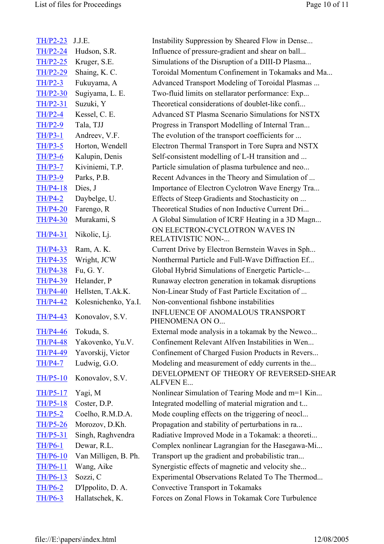| $TH/P2-23$      | J.J.E.               | Instability Suppression by Sheared Flow in Dense           |
|-----------------|----------------------|------------------------------------------------------------|
| <b>TH/P2-24</b> | Hudson, S.R.         | Influence of pressure-gradient and shear on ball           |
| <b>TH/P2-25</b> | Kruger, S.E.         | Simulations of the Disruption of a DIII-D Plasma           |
| <b>TH/P2-29</b> | Shaing, K. C.        | Toroidal Momentum Confinement in Tokamaks and Ma           |
| $TH/P2-3$       | Fukuyama, A          | Advanced Transport Modeling of Toroidal Plasmas            |
| <b>TH/P2-30</b> | Sugiyama, L. E.      | Two-fluid limits on stellarator performance: Exp           |
| <b>TH/P2-31</b> | Suzuki, Y            | Theoretical considerations of doublet-like confi           |
| $TH/P2-4$       | Kessel, C. E.        | Advanced ST Plasma Scenario Simulations for NSTX           |
| $TH/P2-9$       | Tala, TJJ            | Progress in Transport Modelling of Internal Tran           |
| $TH/P3-1$       | Andreev, V.F.        | The evolution of the transport coefficients for            |
| $TH/P3-5$       | Horton, Wendell      | Electron Thermal Transport in Tore Supra and NSTX          |
| $TH/P3-6$       | Kalupin, Denis       | Self-consistent modelling of L-H transition and            |
| $TH/P3-7$       | Kiviniemi, T.P.      | Particle simulation of plasma turbulence and neo           |
| <b>TH/P3-9</b>  | Parks, P.B.          | Recent Advances in the Theory and Simulation of            |
| <b>TH/P4-18</b> | Dies, J              | Importance of Electron Cyclotron Wave Energy Tra           |
| $TH/P4-2$       | Daybelge, U.         | Effects of Steep Gradients and Stochasticity on            |
| <b>TH/P4-20</b> | Farengo, R           | Theoretical Studies of non Inductive Current Dri           |
| <b>TH/P4-30</b> | Murakami, S          | A Global Simulation of ICRF Heating in a 3D Magn           |
| <b>TH/P4-31</b> | Nikolic, Lj.         | ON ELECTRON-CYCLOTRON WAVES IN<br><b>RELATIVISTIC NON-</b> |
| <b>TH/P4-33</b> | Ram, A. K.           | Current Drive by Electron Bernstein Waves in Sph           |
| <b>TH/P4-35</b> | Wright, JCW          | Nonthermal Particle and Full-Wave Diffraction Ef           |
| <b>TH/P4-38</b> | Fu, G. Y.            | Global Hybrid Simulations of Energetic Particle-           |
| <b>TH/P4-39</b> | Helander, P          | Runaway electron generation in tokamak disruptions         |
| <b>TH/P4-40</b> | Hellsten, T.Ak.K.    | Non-Linear Study of Fast Particle Excitation of            |
| <b>TH/P4-42</b> | Kolesnichenko, Ya.I. | Non-conventional fishbone instabilities                    |
| <b>TH/P4-43</b> | Konovalov, S.V.      | <b>INFLUENCE OF ANOMALOUS TRANSPORT</b><br>PHENOMENA ON O  |
| <b>TH/P4-46</b> | Tokuda, S.           | External mode analysis in a tokamak by the Newco           |
| <b>TH/P4-48</b> | Yakovenko, Yu.V.     | Confinement Relevant Alfven Instabilities in Wen           |
| <b>TH/P4-49</b> | Yavorskij, Victor    | Confinement of Charged Fusion Products in Revers           |
| $TH/P4-7$       | Ludwig, G.O.         | Modeling and measurement of eddy currents in the           |
| $TH/P5-10$      | Konovalov, S.V.      | DEVELOPMENT OF THEORY OF REVERSED-SHEAR<br><b>ALFVEN E</b> |
| <b>TH/P5-17</b> | Yagi, M              | Nonlinear Simulation of Tearing Mode and m=1 Kin           |
| <b>TH/P5-18</b> | Coster, D.P.         | Integrated modelling of material migration and t           |
| $TH/P5-2$       | Coelho, R.M.D.A.     | Mode coupling effects on the triggering of neocl           |
| <b>TH/P5-26</b> | Morozov, D.Kh.       | Propagation and stability of perturbations in ra           |
| <b>TH/P5-31</b> | Singh, Raghvendra    | Radiative Improved Mode in a Tokamak: a theoreti           |
| <b>TH/P6-1</b>  | Dewar, R.L.          | Complex nonlinear Lagrangian for the Hasegawa-Mi           |
| <b>TH/P6-10</b> | Van Milligen, B. Ph. | Transport up the gradient and probabilistic tran           |
| <b>TH/P6-11</b> | Wang, Aike           | Synergistic effects of magnetic and velocity she           |
| <b>TH/P6-13</b> | Sozzi, C             | Experimental Observations Related To The Thermod           |
| <b>TH/P6-2</b>  | D'Ippolito, D. A.    | Convective Transport in Tokamaks                           |
| <b>TH/P6-3</b>  | Hallatschek, K.      | Forces on Zonal Flows in Tokamak Core Turbulence           |